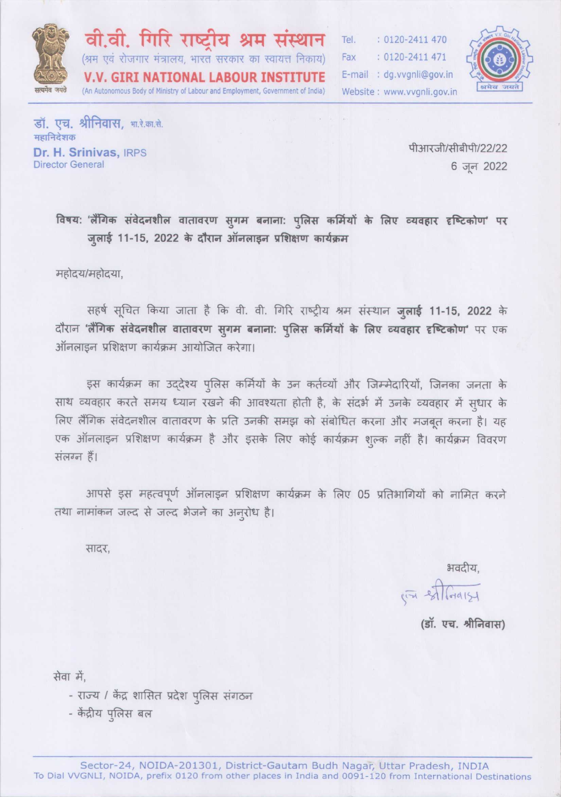

वी.वी. गिरि राष्ट्रीय श्रम संस्थान (श्रम एवं रोजगार मंत्रालय, भारत सरकार का स्वायत्त निकाय) V.V. GIRI NATIONAL LABOUR INSTITUTE (An Autonomous Body of Ministry of Labour and Employment, Government of India)

Tel. : 0120-2411 470 Fax : 0120-2411 471 E-mail: dg.vvgnli@gov.in Website: www.vvgnli.gov.in



डॉ. एच. श्रीनिवास, भा.रे.का.से. महानिदेशक Dr. H. Srinivas, IRPS **Director General** 

पीआरजी/सीबीपी/22/22 6 जून 2022

विषय: 'लैंगिक संवेदनशील वातावरण सुगम बनाना: पुलिस कर्मियों के लिए व्यवहार दृष्टिकोण' पर जुलाई 11-15, 2022 के दौरान ऑनलाइन प्रशिक्षण कार्यक्रम

महोदय/महोदया,

सहर्ष सूचित किया जाता है कि वी. वी. गिरि राष्ट्रीय श्रम संस्थान ज़्लाई 11-15, 2022 के दौरान 'लैंगिक संवेदनशील वातावरण सुगम बनाना: पुलिस कर्मियों के लिए व्यवहार दृष्टिकोण' पर एक ऑनलाइन प्रशिक्षण कार्यक्रम आयोजित करेगा।

इस कार्यक्रम का उद्देश्य पुलिस कर्मियों के उन कर्तव्यों और जिम्मेदारियों, जिनका जनता के साथ व्यवहार करते समय ध्यान रखने की आवश्यता होती है, के संदर्भ में उनके व्यवहार में सुधार के लिए लैंगिक संवेदनशील वातावरण के प्रति उनकी समझ को संबोधित करना और मजबूत करना है। यह एक ऑनलाइन प्रशिक्षण कार्यक्रम है और इसके लिए कोई कार्यक्रम शुल्क नहीं है। कार्यक्रम विवरण संलग्न हैं।

आपसे इस महत्वपूर्ण ऑनलाइन प्रशिक्षण कार्यक्रम के लिए 05 प्रतिभागियों को नामित करने तथा नामांकन जल्द से जल्द भेजने का अनूरोध है।

सादर,

भवदीय.

(I STGAIST

(डॉ. एच. श्रीनिवास)

सेवा में.

- राज्य / केंद्र शासित प्रदेश पुलिस संगठन
- केंद्रीय पुलिस बल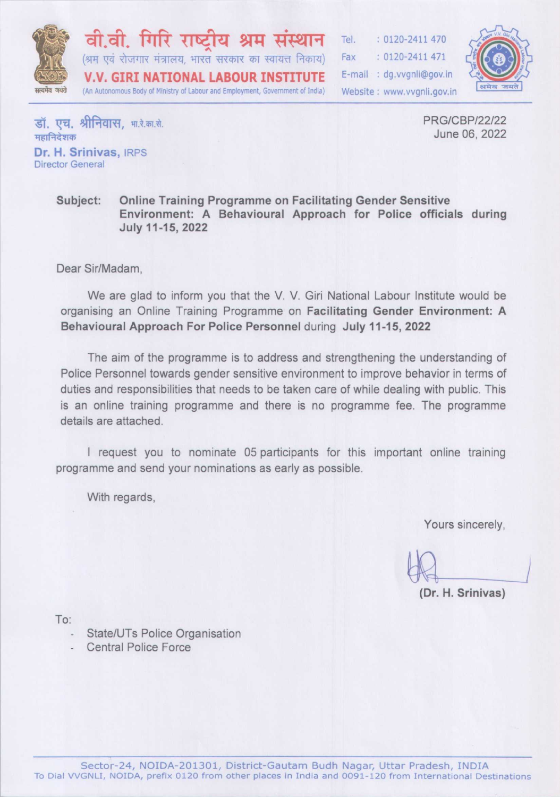

वी.वी. गिरि राष्टीय श्रम (श्रम एवं रोजगार मंत्रालय, भारत सरकार का स्वायत्त निकाय) **V.V. GIRI NATIONAL LABOUR INSTITUTE** (An Autonomous Body of Ministry of Labour and Employment, Government of India)

Tel.  $: 0120 - 2411470$ Fax  $: 0120 - 2411471$ E-mail: dg.vvgnli@gov.in Website: www.vvgnli.gov.in



डॉ. एच. श्रीनिवास. भारे.का.से. महानिदेशक Dr. H. Srinivas, IRPS **Director General** 

**PRG/CBP/22/22** June 06, 2022

#### Online Training Programme on Facilitating Gender Sensitive Subject: Environment: A Behavioural Approach for Police officials during July 11-15, 2022

Dear Sir/Madam.

We are glad to inform you that the V. V. Giri National Labour Institute would be organising an Online Training Programme on Facilitating Gender Environment: A Behavioural Approach For Police Personnel during July 11-15, 2022

The aim of the programme is to address and strengthening the understanding of Police Personnel towards gender sensitive environment to improve behavior in terms of duties and responsibilities that needs to be taken care of while dealing with public. This is an online training programme and there is no programme fee. The programme details are attached.

I request you to nominate 05 participants for this important online training programme and send your nominations as early as possible.

With regards,

Yours sincerely,

(Dr. H. Srinivas)

To:

- State/UTs Police Organisation
- **Central Police Force**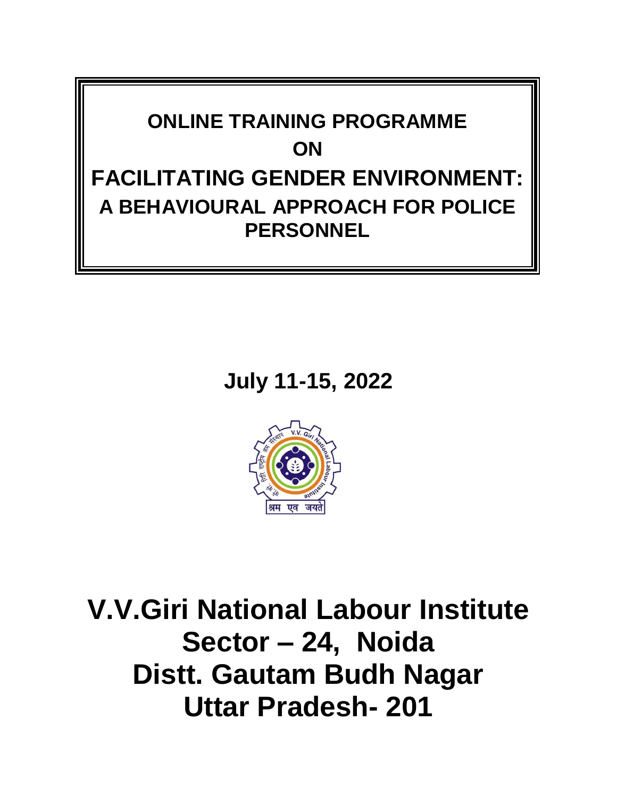

**July 11-15, 2022**



**V.V.Giri National Labour Institute Sector – 24, Noida Distt. Gautam Budh Nagar Uttar Pradesh- 201**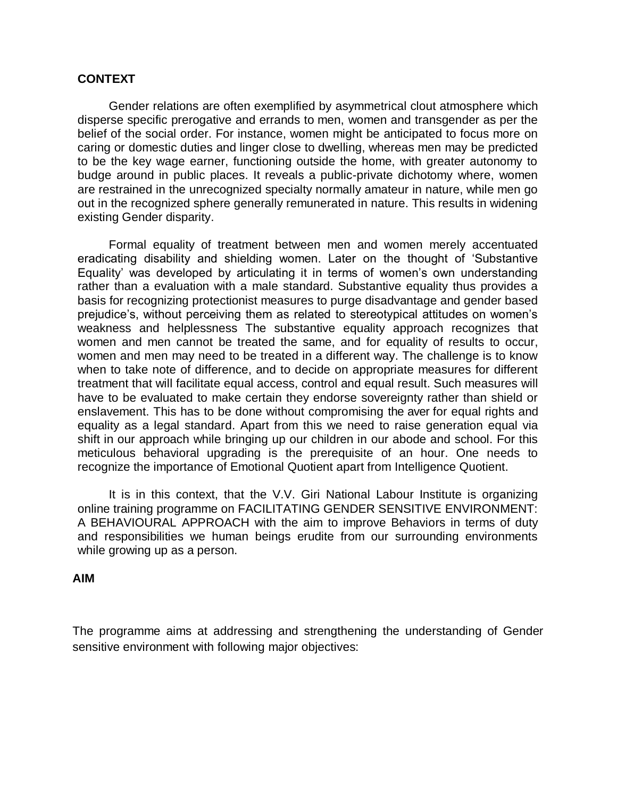### **CONTEXT**

Gender relations are often exemplified by asymmetrical clout atmosphere which disperse specific prerogative and errands to men, women and transgender as per the belief of the social order. For instance, women might be anticipated to focus more on caring or domestic duties and linger close to dwelling, whereas men may be predicted to be the key wage earner, functioning outside the home, with greater autonomy to budge around in public places. It reveals a public-private dichotomy where, women are restrained in the unrecognized specialty normally amateur in nature, while men go out in the recognized sphere generally remunerated in nature. This results in widening existing Gender disparity.

Formal equality of treatment between men and women merely accentuated eradicating disability and shielding women. Later on the thought of 'Substantive Equality' was developed by articulating it in terms of women's own understanding rather than a evaluation with a male standard. Substantive equality thus provides a basis for recognizing protectionist measures to purge disadvantage and gender based prejudice's, without perceiving them as related to stereotypical attitudes on women's weakness and helplessness The substantive equality approach recognizes that women and men cannot be treated the same, and for equality of results to occur, women and men may need to be treated in a different way. The challenge is to know when to take note of difference, and to decide on appropriate measures for different treatment that will facilitate equal access, control and equal result. Such measures will have to be evaluated to make certain they endorse sovereignty rather than shield or enslavement. This has to be done without compromising the aver for equal rights and equality as a legal standard. Apart from this we need to raise generation equal via shift in our approach while bringing up our children in our abode and school. For this meticulous behavioral upgrading is the prerequisite of an hour. One needs to recognize the importance of Emotional Quotient apart from Intelligence Quotient.

It is in this context, that the V.V. Giri National Labour Institute is organizing online training programme on FACILITATING GENDER SENSITIVE ENVIRONMENT: A BEHAVIOURAL APPROACH with the aim to improve Behaviors in terms of duty and responsibilities we human beings erudite from our surrounding environments while growing up as a person.

#### **AIM**

The programme aims at addressing and strengthening the understanding of Gender sensitive environment with following major objectives: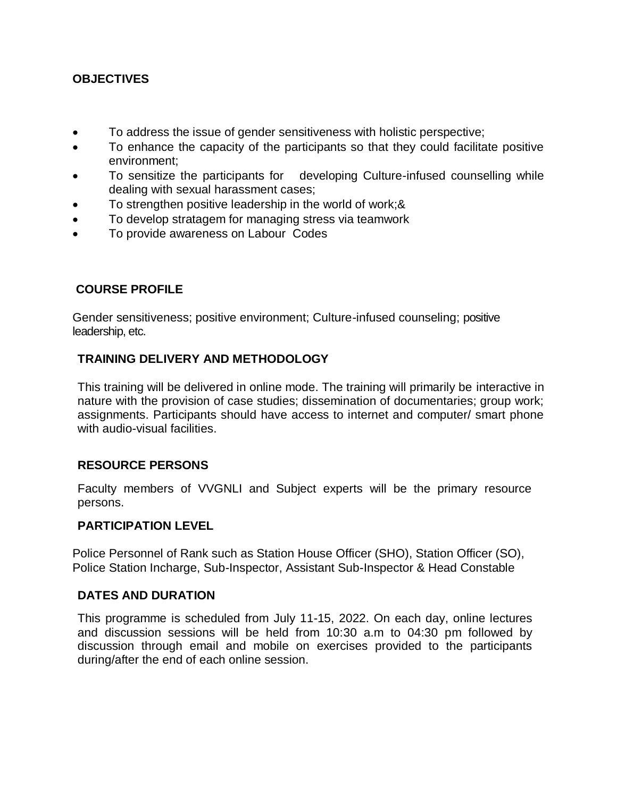### **OBJECTIVES**

- To address the issue of gender sensitiveness with holistic perspective;
- To enhance the capacity of the participants so that they could facilitate positive environment;
- To sensitize the participants for developing Culture-infused counselling while dealing with sexual harassment cases;
- To strengthen positive leadership in the world of work;&
- To develop stratagem for managing stress via teamwork
- To provide awareness on Labour Codes

### **COURSE PROFILE**

Gender sensitiveness; positive environment; Culture-infused counseling; positive leadership, etc.

### **TRAINING DELIVERY AND METHODOLOGY**

This training will be delivered in online mode. The training will primarily be interactive in nature with the provision of case studies; dissemination of documentaries; group work; assignments. Participants should have access to internet and computer/ smart phone with audio-visual facilities.

### **RESOURCE PERSONS**

Faculty members of VVGNLI and Subject experts will be the primary resource persons.

### **PARTICIPATION LEVEL**

Police Personnel of Rank such as Station House Officer (SHO), Station Officer (SO), Police Station Incharge, Sub-Inspector, Assistant Sub-Inspector & Head Constable

### **DATES AND DURATION**

This programme is scheduled from July 11-15, 2022. On each day, online lectures and discussion sessions will be held from 10:30 a.m to 04:30 pm followed by discussion through email and mobile on exercises provided to the participants during/after the end of each online session.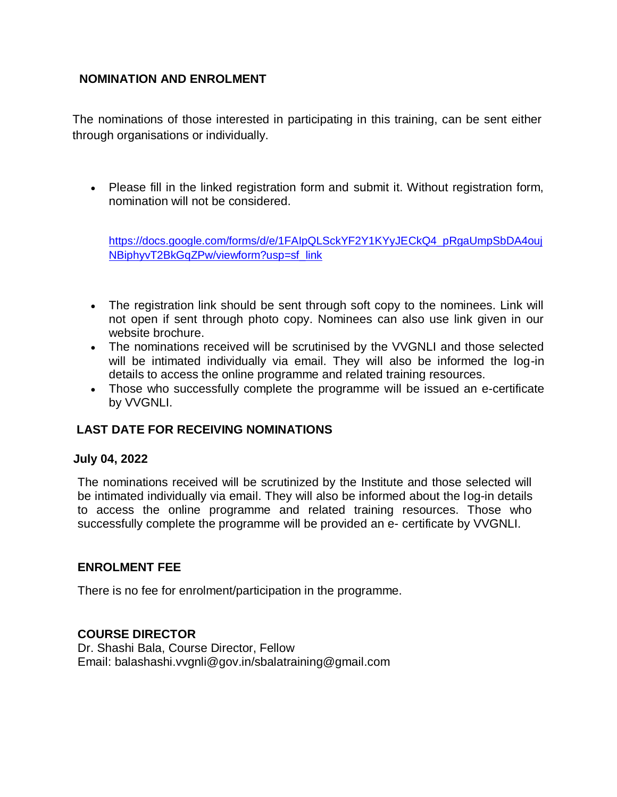# **NOMINATION AND ENROLMENT**

The nominations of those interested in participating in this training, can be sent either through organisations or individually.

• Please fill in the linked registration form and submit it. Without registration form, nomination will not be considered.

[https://docs.google.com/forms/d/e/1FAIpQLSckYF2Y1KYyJECkQ4\\_pRgaUmpSbDA4ouj](https://docs.google.com/forms/d/e/1FAIpQLSckYF2Y1KYyJECkQ4_pRgaUmpSbDA4oujNBiphyvT2BkGqZPw/viewform?usp=sf_link) [NBiphyvT2BkGqZPw/viewform?usp=sf\\_link](https://docs.google.com/forms/d/e/1FAIpQLSckYF2Y1KYyJECkQ4_pRgaUmpSbDA4oujNBiphyvT2BkGqZPw/viewform?usp=sf_link)

- The registration link should be sent through soft copy to the nominees. Link will not open if sent through photo copy. Nominees can also use link given in our website brochure.
- The nominations received will be scrutinised by the VVGNLI and those selected will be intimated individually via email. They will also be informed the log-in details to access the online programme and related training resources.
- Those who successfully complete the programme will be issued an e-certificate by VVGNLI.

# **LAST DATE FOR RECEIVING NOMINATIONS**

### **July 04, 2022**

The nominations received will be scrutinized by the Institute and those selected will be intimated individually via email. They will also be informed about the log-in details to access the online programme and related training resources. Those who successfully complete the programme will be provided an e- certificate by VVGNLI.

# **ENROLMENT FEE**

There is no fee for enrolment/participation in the programme.

# **COURSE DIRECTOR**

Dr. Shashi Bala, Course Director, Fellow Email: balashashi.vvgnli@gov.in/sbalatraining@gmail.com